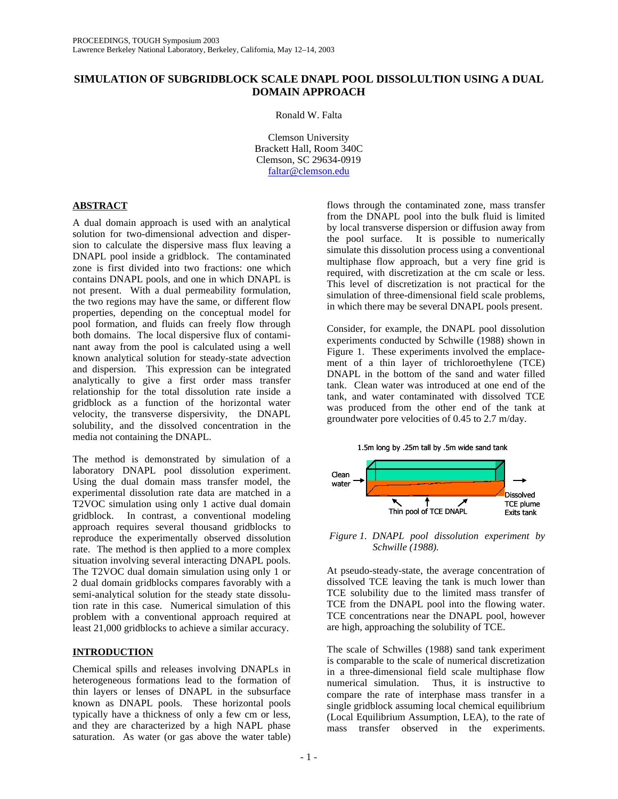# **SIMULATION OF SUBGRIDBLOCK SCALE DNAPL POOL DISSOLULTION USING A DUAL DOMAIN APPROACH**

Ronald W. Falta

Clemson University Brackett Hall, Room 340C Clemson, SC 29634-0919 faltar@clemson.edu

# **ABSTRACT**

A dual domain approach is used with an analytical solution for two-dimensional advection and dispersion to calculate the dispersive mass flux leaving a DNAPL pool inside a gridblock. The contaminated zone is first divided into two fractions: one which contains DNAPL pools, and one in which DNAPL is not present. With a dual permeability formulation, the two regions may have the same, or different flow properties, depending on the conceptual model for pool formation, and fluids can freely flow through both domains. The local dispersive flux of contaminant away from the pool is calculated using a well known analytical solution for steady-state advection and dispersion. This expression can be integrated analytically to give a first order mass transfer relationship for the total dissolution rate inside a gridblock as a function of the horizontal water velocity, the transverse dispersivity, the DNAPL solubility, and the dissolved concentration in the media not containing the DNAPL.

The method is demonstrated by simulation of a laboratory DNAPL pool dissolution experiment. Using the dual domain mass transfer model, the experimental dissolution rate data are matched in a T2VOC simulation using only 1 active dual domain gridblock. In contrast, a conventional modeling approach requires several thousand gridblocks to reproduce the experimentally observed dissolution rate. The method is then applied to a more complex situation involving several interacting DNAPL pools. The T2VOC dual domain simulation using only 1 or 2 dual domain gridblocks compares favorably with a semi-analytical solution for the steady state dissolution rate in this case. Numerical simulation of this problem with a conventional approach required at least 21,000 gridblocks to achieve a similar accuracy.

# **INTRODUCTION**

Chemical spills and releases involving DNAPLs in heterogeneous formations lead to the formation of thin layers or lenses of DNAPL in the subsurface known as DNAPL pools. These horizontal pools typically have a thickness of only a few cm or less, and they are characterized by a high NAPL phase saturation. As water (or gas above the water table)

flows through the contaminated zone, mass transfer from the DNAPL pool into the bulk fluid is limited by local transverse dispersion or diffusion away from the pool surface. It is possible to numerically simulate this dissolution process using a conventional multiphase flow approach, but a very fine grid is required, with discretization at the cm scale or less. This level of discretization is not practical for the simulation of three-dimensional field scale problems, in which there may be several DNAPL pools present.

Consider, for example, the DNAPL pool dissolution experiments conducted by Schwille (1988) shown in Figure 1. These experiments involved the emplacement of a thin layer of trichloroethylene (TCE) DNAPL in the bottom of the sand and water filled tank. Clean water was introduced at one end of the tank, and water contaminated with dissolved TCE was produced from the other end of the tank at groundwater pore velocities of 0.45 to 2.7 m/day.



 *Figure 1. DNAPL pool dissolution experiment by Schwille (1988).* 

At pseudo-steady-state, the average concentration of dissolved TCE leaving the tank is much lower than TCE solubility due to the limited mass transfer of TCE from the DNAPL pool into the flowing water. TCE concentrations near the DNAPL pool, however are high, approaching the solubility of TCE.

The scale of Schwilles (1988) sand tank experiment is comparable to the scale of numerical discretization in a three-dimensional field scale multiphase flow Thus, it is instructive to compare the rate of interphase mass transfer in a single gridblock assuming local chemical equilibrium (Local Equilibrium Assumption, LEA), to the rate of mass transfer observed in the experiments.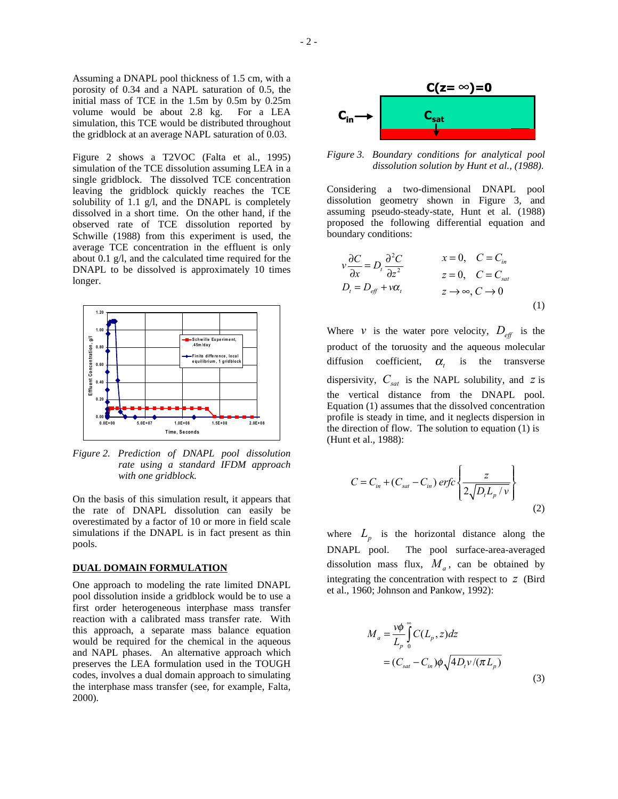Assuming a DNAPL pool thickness of 1.5 cm, with a porosity of 0.34 and a NAPL saturation of 0.5, the initial mass of TCE in the 1.5m by 0.5m by 0.25m volume would be about 2.8 kg. For a LEA simulation, this TCE would be distributed throughout the gridblock at an average NAPL saturation of 0.03.

Figure 2 shows a T2VOC (Falta et al., 1995) simulation of the TCE dissolution assuming LEA in a single gridblock. The dissolved TCE concentration leaving the gridblock quickly reaches the TCE solubility of 1.1 g/l, and the DNAPL is completely dissolved in a short time. On the other hand, if the observed rate of TCE dissolution reported by Schwille (1988) from this experiment is used, the average TCE concentration in the effluent is only about 0.1 g/l, and the calculated time required for the DNAPL to be dissolved is approximately 10 times longer.



*Figure 2. Prediction of DNAPL pool dissolution rate using a standard IFDM approach with one gridblock.* 

On the basis of this simulation result, it appears that the rate of DNAPL dissolution can easily be overestimated by a factor of 10 or more in field scale simulations if the DNAPL is in fact present as thin pools.

#### **DUAL DOMAIN FORMULATION**

One approach to modeling the rate limited DNAPL pool dissolution inside a gridblock would be to use a first order heterogeneous interphase mass transfer reaction with a calibrated mass transfer rate. With this approach, a separate mass balance equation would be required for the chemical in the aqueous and NAPL phases. An alternative approach which preserves the LEA formulation used in the TOUGH codes, involves a dual domain approach to simulating the interphase mass transfer (see, for example, Falta, 2000).



*Figure 3. Boundary conditions for analytical pool dissolution solution by Hunt et al., (1988).* 

Considering a two-dimensional DNAPL pool dissolution geometry shown in Figure 3, and assuming pseudo-steady-state, Hunt et al. (1988) proposed the following differential equation and boundary conditions:

$$
v \frac{\partial C}{\partial x} = D_t \frac{\partial^2 C}{\partial z^2} \qquad x = 0, \quad C = C_{in}
$$
  
\n
$$
D_t = D_{eff} + v\alpha_t \qquad z \to \infty, C \to 0
$$
  
\n(1)

Where *v* is the water pore velocity,  $D_{\text{eff}}$  is the product of the toruosity and the aqueous molecular diffusion coefficient,  $\alpha$ , is the transverse dispersivity,  $C_{sat}$  is the NAPL solubility, and *z* is the vertical distance from the DNAPL pool. Equation (1) assumes that the dissolved concentration profile is steady in time, and it neglects dispersion in the direction of flow. The solution to equation (1) is (Hunt et al., 1988):

$$
C = C_{in} + (C_{sat} - C_{in}) \, erfc\left\{\frac{z}{2\sqrt{D_{i}L_{p}}/v}\right\}
$$
\n(2)

where  $L_n$  is the horizontal distance along the DNAPL pool. The pool surface-area-averaged dissolution mass flux,  $M_a$ , can be obtained by integrating the concentration with respect to *z* (Bird et al., 1960; Johnson and Pankow, 1992):

$$
M_a = \frac{v\phi}{L_p} \int_0^\infty C(L_p, z) dz
$$
  
=  $(C_{sat} - C_{in})\phi \sqrt{4D_t v/(\pi L_p)}$  (3)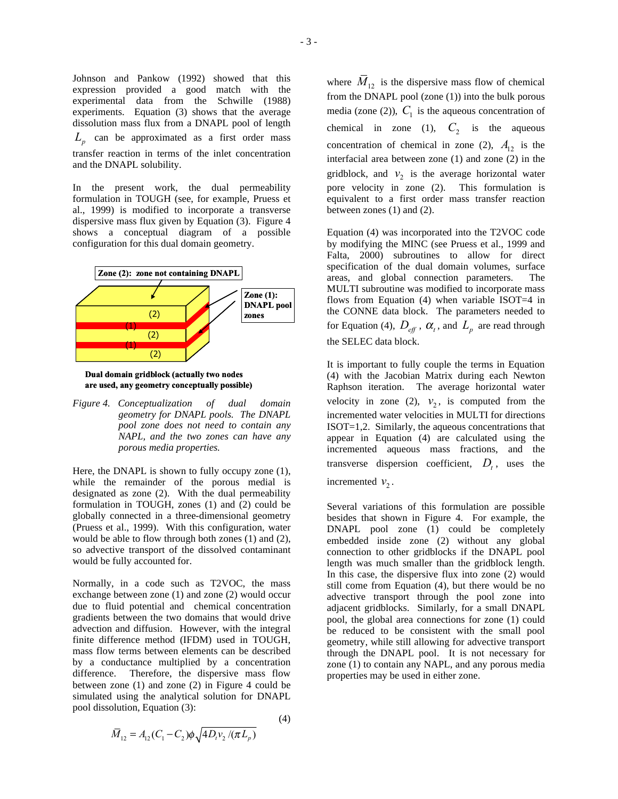Johnson and Pankow (1992) showed that this expression provided a good match with the experimental data from the Schwille (1988) experiments. Equation (3) shows that the average dissolution mass flux from a DNAPL pool of length  $L_p$  can be approximated as a first order mass transfer reaction in terms of the inlet concentration and the DNAPL solubility.

In the present work, the dual permeability formulation in TOUGH (see, for example, Pruess et al., 1999) is modified to incorporate a transverse dispersive mass flux given by Equation (3). Figure 4 shows a conceptual diagram of a possible configuration for this dual domain geometry.



**Dual domain gridblock (actually two nodes are used, any geometry conceptually possible)**

*Figure 4. Conceptualization of dual domain geometry for DNAPL pools. The DNAPL pool zone does not need to contain any NAPL, and the two zones can have any porous media properties.* 

Here, the DNAPL is shown to fully occupy zone (1), while the remainder of the porous medial is designated as zone (2). With the dual permeability formulation in TOUGH, zones (1) and (2) could be globally connected in a three-dimensional geometry (Pruess et al., 1999). With this configuration, water would be able to flow through both zones (1) and (2), so advective transport of the dissolved contaminant would be fully accounted for.

Normally, in a code such as T2VOC, the mass exchange between zone (1) and zone (2) would occur due to fluid potential and chemical concentration gradients between the two domains that would drive advection and diffusion. However, with the integral finite difference method (IFDM) used in TOUGH, mass flow terms between elements can be described by a conductance multiplied by a concentration difference. Therefore, the dispersive mass flow between zone (1) and zone (2) in Figure 4 could be simulated using the analytical solution for DNAPL pool dissolution, Equation (3):

(4) 
$$
\overline{M}_{12} = A_{12}(C_1 - C_2)\phi \sqrt{4D_v v_2 / (\pi L_p)}
$$

where  $M_{12}$  is the dispersive mass flow of chemical from the DNAPL pool (zone (1)) into the bulk porous media (zone (2)),  $C_1$  is the aqueous concentration of chemical in zone (1),  $C_2$  is the aqueous concentration of chemical in zone (2),  $A_{12}$  is the interfacial area between zone (1) and zone (2) in the gridblock, and  $v_2$  is the average horizontal water pore velocity in zone (2). This formulation is equivalent to a first order mass transfer reaction between zones (1) and (2).

Equation (4) was incorporated into the T2VOC code by modifying the MINC (see Pruess et al., 1999 and Falta, 2000) subroutines to allow for direct specification of the dual domain volumes, surface areas, and global connection parameters. The MULTI subroutine was modified to incorporate mass flows from Equation (4) when variable ISOT=4 in the CONNE data block. The parameters needed to for Equation (4),  $D_{\text{eff}}$ ,  $\alpha_t$ , and  $L_p$  are read through the SELEC data block.

It is important to fully couple the terms in Equation (4) with the Jacobian Matrix during each Newton Raphson iteration. The average horizontal water velocity in zone (2),  $v_2$ , is computed from the incremented water velocities in MULTI for directions ISOT=1,2. Similarly, the aqueous concentrations that appear in Equation (4) are calculated using the incremented aqueous mass fractions, and the transverse dispersion coefficient,  $D_t$ , uses the incremented  $v_2$ .

Several variations of this formulation are possible besides that shown in Figure 4. For example, the DNAPL pool zone (1) could be completely embedded inside zone (2) without any global connection to other gridblocks if the DNAPL pool length was much smaller than the gridblock length. In this case, the dispersive flux into zone (2) would still come from Equation (4), but there would be no advective transport through the pool zone into adjacent gridblocks. Similarly, for a small DNAPL pool, the global area connections for zone (1) could be reduced to be consistent with the small pool geometry, while still allowing for advective transport through the DNAPL pool. It is not necessary for zone (1) to contain any NAPL, and any porous media properties may be used in either zone.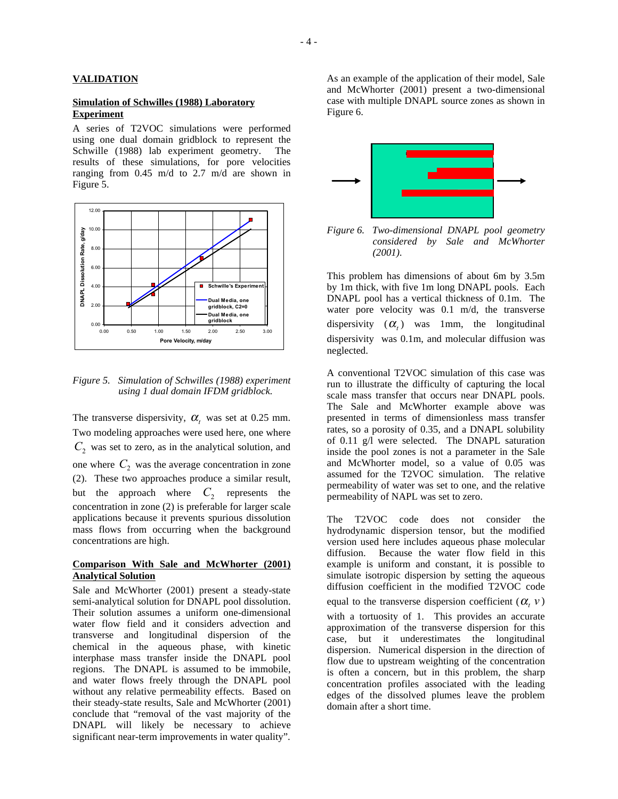### **VALIDATION**

### **Simulation of Schwilles (1988) Laboratory Experiment**

A series of T2VOC simulations were performed using one dual domain gridblock to represent the Schwille (1988) lab experiment geometry. The results of these simulations, for pore velocities ranging from 0.45 m/d to 2.7 m/d are shown in Figure 5.



*Figure 5. Simulation of Schwilles (1988) experiment using 1 dual domain IFDM gridblock.* 

The transverse dispersivity,  $\alpha_t$  was set at 0.25 mm. Two modeling approaches were used here, one where  $C_2$  was set to zero, as in the analytical solution, and one where  $C_2$  was the average concentration in zone (2). These two approaches produce a similar result, but the approach where  $C_2$  represents the concentration in zone (2) is preferable for larger scale applications because it prevents spurious dissolution mass flows from occurring when the background concentrations are high.

## **Comparison With Sale and McWhorter (2001) Analytical Solution**

Sale and McWhorter (2001) present a steady-state semi-analytical solution for DNAPL pool dissolution. Their solution assumes a uniform one-dimensional water flow field and it considers advection and transverse and longitudinal dispersion of the chemical in the aqueous phase, with kinetic interphase mass transfer inside the DNAPL pool regions. The DNAPL is assumed to be immobile, and water flows freely through the DNAPL pool without any relative permeability effects. Based on their steady-state results, Sale and McWhorter (2001) conclude that "removal of the vast majority of the DNAPL will likely be necessary to achieve significant near-term improvements in water quality".

As an example of the application of their model, Sale and McWhorter (2001) present a two-dimensional case with multiple DNAPL source zones as shown in Figure 6.



*Figure 6. Two-dimensional DNAPL pool geometry considered by Sale and McWhorter (2001).* 

This problem has dimensions of about 6m by 3.5m by 1m thick, with five 1m long DNAPL pools. Each DNAPL pool has a vertical thickness of 0.1m. The water pore velocity was 0.1 m/d, the transverse dispersivity  $(\alpha_t)$  was 1mm, the longitudinal dispersivity was 0.1m, and molecular diffusion was neglected.

A conventional T2VOC simulation of this case was run to illustrate the difficulty of capturing the local scale mass transfer that occurs near DNAPL pools. The Sale and McWhorter example above was presented in terms of dimensionless mass transfer rates, so a porosity of 0.35, and a DNAPL solubility of 0.11 g/l were selected. The DNAPL saturation inside the pool zones is not a parameter in the Sale and McWhorter model, so a value of 0.05 was assumed for the T2VOC simulation. The relative permeability of water was set to one, and the relative permeability of NAPL was set to zero.

The T2VOC code does not consider the hydrodynamic dispersion tensor, but the modified version used here includes aqueous phase molecular diffusion. Because the water flow field in this example is uniform and constant, it is possible to simulate isotropic dispersion by setting the aqueous diffusion coefficient in the modified T2VOC code equal to the transverse dispersion coefficient  $(\alpha, \nu)$ 

with a tortuosity of 1. This provides an accurate approximation of the transverse dispersion for this case, but it underestimates the longitudinal dispersion. Numerical dispersion in the direction of flow due to upstream weighting of the concentration is often a concern, but in this problem, the sharp concentration profiles associated with the leading edges of the dissolved plumes leave the problem domain after a short time.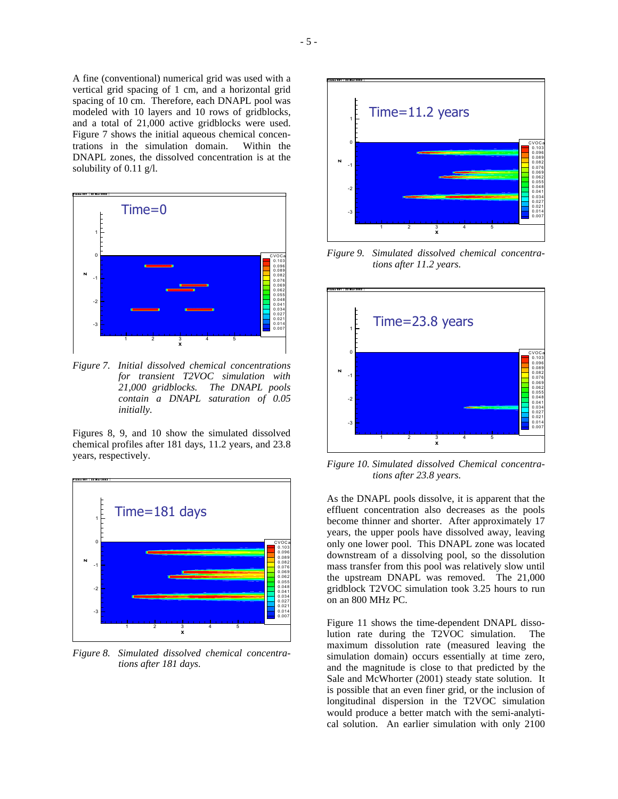A fine (conventional) numerical grid was used with a vertical grid spacing of 1 cm, and a horizontal grid spacing of 10 cm. Therefore, each DNAPL pool was modeled with 10 layers and 10 rows of gridblocks, and a total of 21,000 active gridblocks were used. Figure 7 shows the initial aqueous chemical concentrations in the simulation domain. Within the DNAPL zones, the dissolved concentration is at the solubility of 0.11 g/l.



*Figure 7. Initial dissolved chemical concentrations for transient T2VOC simulation with 21,000 gridblocks. The DNAPL pools contain a DNAPL saturation of 0.05 initially.* 

Figures 8, 9, and 10 show the simulated dissolved chemical profiles after 181 days, 11.2 years, and 23.8 years, respectively.



*Figure 8. Simulated dissolved chemical concentrations after 181 days.* 



*Figure 9. Simulated dissolved chemical concentrations after 11.2 years.* 



*Figure 10. Simulated dissolved Chemical concentrations after 23.8 years.* 

As the DNAPL pools dissolve, it is apparent that the effluent concentration also decreases as the pools become thinner and shorter. After approximately 17 years, the upper pools have dissolved away, leaving only one lower pool. This DNAPL zone was located downstream of a dissolving pool, so the dissolution mass transfer from this pool was relatively slow until the upstream DNAPL was removed. The 21,000 gridblock T2VOC simulation took 3.25 hours to run on an 800 MHz PC.

Figure 11 shows the time-dependent DNAPL dissolution rate during the T2VOC simulation. The maximum dissolution rate (measured leaving the simulation domain) occurs essentially at time zero, and the magnitude is close to that predicted by the Sale and McWhorter (2001) steady state solution. It is possible that an even finer grid, or the inclusion of longitudinal dispersion in the T2VOC simulation would produce a better match with the semi-analytical solution. An earlier simulation with only 2100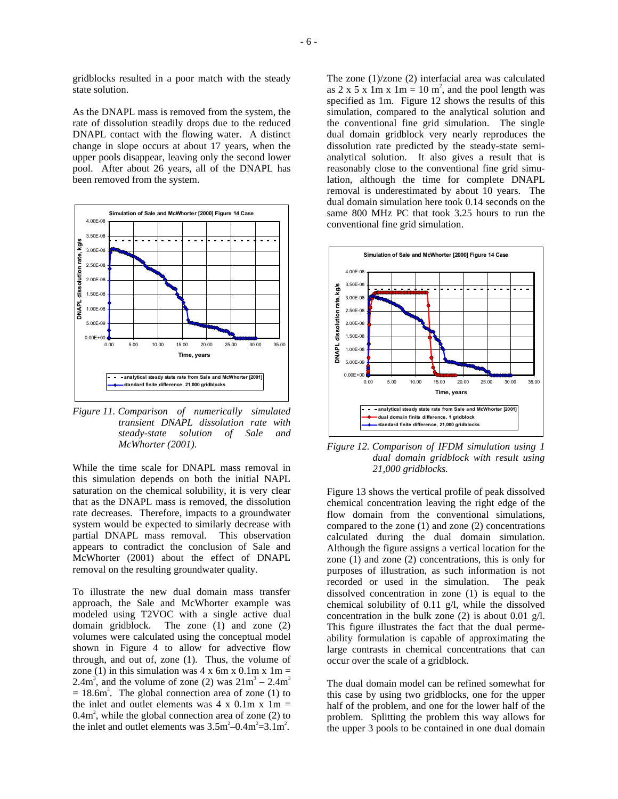gridblocks resulted in a poor match with the steady state solution.

As the DNAPL mass is removed from the system, the rate of dissolution steadily drops due to the reduced DNAPL contact with the flowing water. A distinct change in slope occurs at about 17 years, when the upper pools disappear, leaving only the second lower pool. After about 26 years, all of the DNAPL has been removed from the system.



*Figure 11. Comparison of numerically simulated transient DNAPL dissolution rate with steady-state solution of Sale and McWhorter (2001).* 

While the time scale for DNAPL mass removal in this simulation depends on both the initial NAPL saturation on the chemical solubility, it is very clear that as the DNAPL mass is removed, the dissolution rate decreases. Therefore, impacts to a groundwater system would be expected to similarly decrease with partial DNAPL mass removal. This observation appears to contradict the conclusion of Sale and McWhorter (2001) about the effect of DNAPL removal on the resulting groundwater quality.

To illustrate the new dual domain mass transfer approach, the Sale and McWhorter example was modeled using T2VOC with a single active dual domain gridblock. The zone (1) and zone (2) volumes were calculated using the conceptual model shown in Figure 4 to allow for advective flow through, and out of, zone (1). Thus, the volume of zone (1) in this simulation was  $4 \times 6$ m x  $0.1$ m x  $1m =$ 2.4m<sup>3</sup>, and the volume of zone (2) was  $21m<sup>3</sup> - 2.4m<sup>3</sup>$  $= 18.6$ m<sup>3</sup>. The global connection area of zone (1) to the inlet and outlet elements was  $4 \times 0.1$ m  $\times 1$ m =  $0.4m<sup>2</sup>$ , while the global connection area of zone (2) to the inlet and outlet elements was  $3.5 \text{m}^2 - 0.4 \text{m}^2 = 3.1 \text{m}^2$ .

The zone (1)/zone (2) interfacial area was calculated as  $2 \times 5 \times 1$ m  $\times 1$ m = 10 m<sup>2</sup>, and the pool length was specified as 1m. Figure 12 shows the results of this simulation, compared to the analytical solution and the conventional fine grid simulation. The single dual domain gridblock very nearly reproduces the dissolution rate predicted by the steady-state semianalytical solution. It also gives a result that is reasonably close to the conventional fine grid simulation, although the time for complete DNAPL removal is underestimated by about 10 years. The dual domain simulation here took 0.14 seconds on the same 800 MHz PC that took 3.25 hours to run the conventional fine grid simulation.



*Figure 12. Comparison of IFDM simulation using 1 dual domain gridblock with result using 21,000 gridblocks.* 

Figure 13 shows the vertical profile of peak dissolved chemical concentration leaving the right edge of the flow domain from the conventional simulations, compared to the zone (1) and zone (2) concentrations calculated during the dual domain simulation. Although the figure assigns a vertical location for the zone (1) and zone (2) concentrations, this is only for purposes of illustration, as such information is not recorded or used in the simulation. The peak dissolved concentration in zone (1) is equal to the chemical solubility of 0.11 g/l, while the dissolved concentration in the bulk zone (2) is about 0.01 g/l. This figure illustrates the fact that the dual permeability formulation is capable of approximating the large contrasts in chemical concentrations that can occur over the scale of a gridblock.

The dual domain model can be refined somewhat for this case by using two gridblocks, one for the upper half of the problem, and one for the lower half of the problem. Splitting the problem this way allows for the upper 3 pools to be contained in one dual domain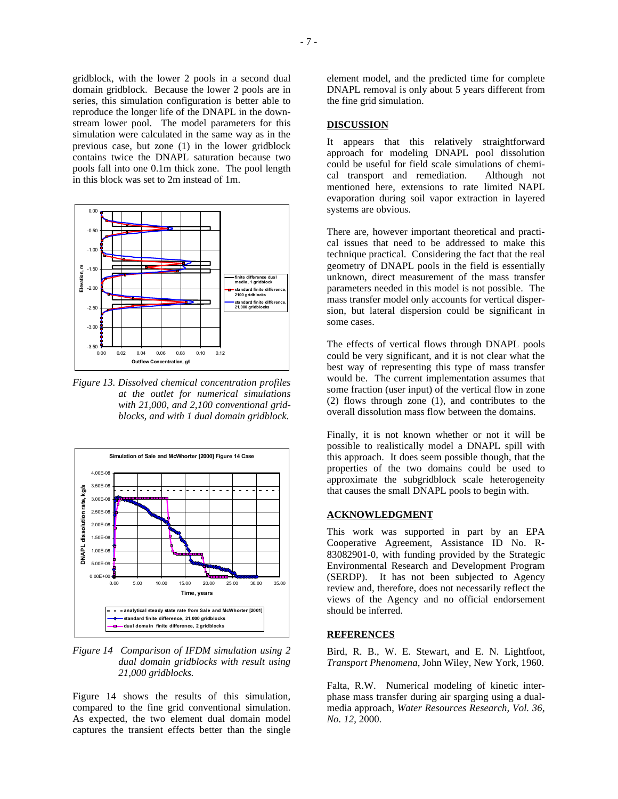gridblock, with the lower 2 pools in a second dual domain gridblock. Because the lower 2 pools are in series, this simulation configuration is better able to reproduce the longer life of the DNAPL in the downstream lower pool. The model parameters for this simulation were calculated in the same way as in the previous case, but zone (1) in the lower gridblock contains twice the DNAPL saturation because two pools fall into one 0.1m thick zone. The pool length in this block was set to 2m instead of 1m.



*Figure 13. Dissolved chemical concentration profiles at the outlet for numerical simulations with 21,000, and 2,100 conventional gridblocks, and with 1 dual domain gridblock.* 



*Figure 14 Comparison of IFDM simulation using 2 dual domain gridblocks with result using 21,000 gridblocks.* 

Figure 14 shows the results of this simulation, compared to the fine grid conventional simulation. As expected, the two element dual domain model captures the transient effects better than the single element model, and the predicted time for complete DNAPL removal is only about 5 years different from the fine grid simulation.

### **DISCUSSION**

It appears that this relatively straightforward approach for modeling DNAPL pool dissolution could be useful for field scale simulations of chemical transport and remediation. Although not mentioned here, extensions to rate limited NAPL evaporation during soil vapor extraction in layered systems are obvious.

There are, however important theoretical and practical issues that need to be addressed to make this technique practical. Considering the fact that the real geometry of DNAPL pools in the field is essentially unknown, direct measurement of the mass transfer parameters needed in this model is not possible. The mass transfer model only accounts for vertical dispersion, but lateral dispersion could be significant in some cases.

The effects of vertical flows through DNAPL pools could be very significant, and it is not clear what the best way of representing this type of mass transfer would be. The current implementation assumes that some fraction (user input) of the vertical flow in zone (2) flows through zone (1), and contributes to the overall dissolution mass flow between the domains.

Finally, it is not known whether or not it will be possible to realistically model a DNAPL spill with this approach. It does seem possible though, that the properties of the two domains could be used to approximate the subgridblock scale heterogeneity that causes the small DNAPL pools to begin with.

### **ACKNOWLEDGMENT**

This work was supported in part by an EPA Cooperative Agreement, Assistance ID No. R-83082901-0, with funding provided by the Strategic Environmental Research and Development Program (SERDP). It has not been subjected to Agency review and, therefore, does not necessarily reflect the views of the Agency and no official endorsement should be inferred.

#### **REFERENCES**

Bird, R. B., W. E. Stewart, and E. N. Lightfoot, *Transport Phenomena*, John Wiley, New York, 1960.

Falta, R.W. Numerical modeling of kinetic interphase mass transfer during air sparging using a dualmedia approach, *Water Resources Research, Vol. 36, No. 12*, 2000.